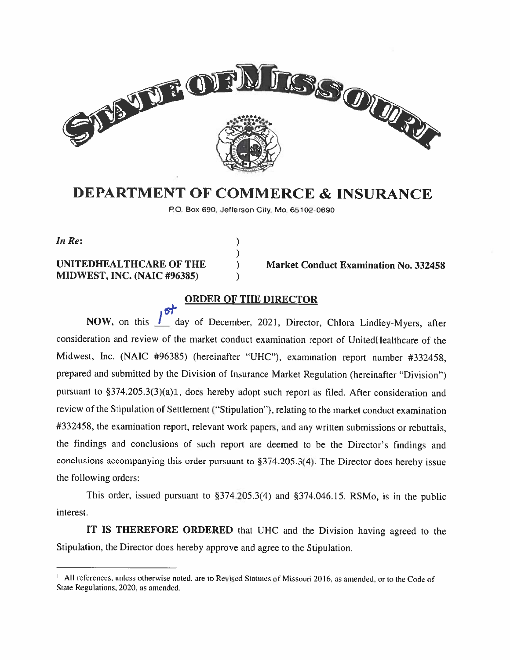

# DEPARTMENT OF COMMERCE & INSURANCE

P.O. Box 690, Jefferson City, Mo. 65102-0690

In Re:  $\qquad \qquad$  )

# MIDWEST, INC. (NAIC #96385)

6\*

UNITEDHEALTHCARE OF THE (a) Market Conduct Examination No. 332458

#### ORDER OF THE DIRECTOR

NOW, on this <u>I</u> day of December, 2021, Director, Chlora Lindley-Myers, after consideration and review of the market conduct examination report of UnitedHealthcare of the Midwest, Inc. (NAIC #96385) (hereinafter "UHC"), examination report number #332458, prepared and submitted by the Division of Insurance Market Regulation (hereinafter "Division") pursuant to §374.205.3(3)(a)1, does hereby adopt such report as filed. After consideration and review of the Stipulation of Settlement (''Stipulation''). relating to the market conduct examination #332458, the examination report, relevant work papers, and any written submissions or rebuttals. the findings and conclusions of such report are deemed to he the Director's findings and conclusions accompanying this order pursuant to §374.205.3(4). The Director does hereby issue the following orders:

This order, issued pursuant to §374.205.3(4) and §374.046.15. RSMo, is in the public interest.

IT IS THEREFORE ORDERED that UHC and the Division having agreed to the Stipulation, the Director does hereby approve and agree to the Stipulation.

 $1$  All references, unless otherwise noted, are to Revised Statutes of Missouri 2016, as amended, or to the Code of State Regulations. 2021). as amended.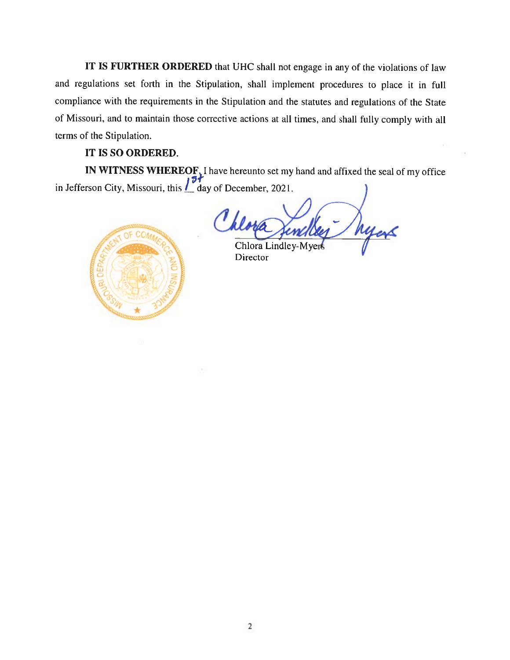IT IS FURTHER ORDERED that UHC shall not engage in any of the violations of law and regulations set forth in the Stipulation. shall implement procedures to <sup>p</sup>lace it in full compliance with the requirements in the Stipulation and the statutes and regulations of the State of Missouri, and to maintain those corrective actions at all times, and shall fully comply with all terms of the Stipulation.

#### IT IS SO ORDERED.

IN WITNESS WHEREOF, I have hereunto set my hand and affixed the seal of my office in Jefferson City, Missouri, this  $\frac{1}{2}$  day of December, 2021.



Chlora Lindley-M Director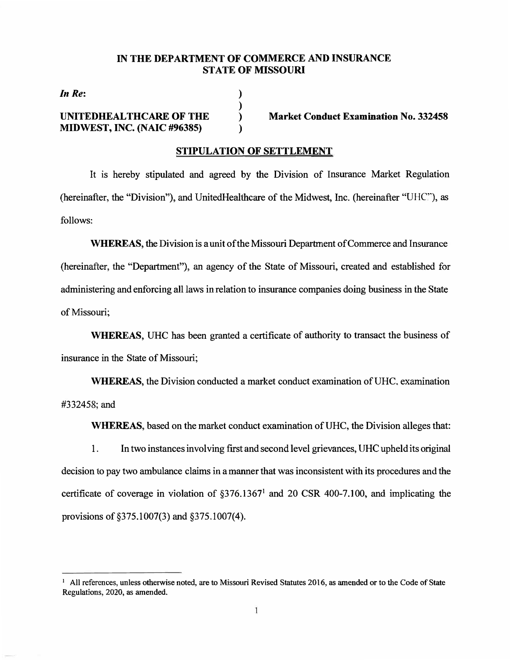#### **IN THE DEPARTMENT OF COMMERCE AND INSURANCE STATE OF MISSOURI**

**) )**  ) **)** 

*In Re:* 

#### **UNITEDHEALTHCARE OF THE MIDWEST, INC. (NAIC #96385)**

**Market Conduct Examination No. 332458** 

#### **STIPULATION OF SETTLEMENT**

It is hereby stipulated and agreed by the Division of Insurance Market Regulation (hereinafter, the "Division"), and UnitedHealthcare of the Midwest, Inc. (hereinafter "UHC"), as follows:

WHEREAS, the Division is a unit of the Missouri Department of Commerce and Insurance (hereinafter, the "Department"), an agency of the State of Missouri, created and established for administering and enforcing all laws in relation to insurance companies doing business in the State of Missouri;

**WHEREAS,** UHC has been granted a certificate of authority to transact the business of insurance in the State of Missouri;

WHEREAS, the Division conducted a market conduct examination of UHC, examination #332458;and

WHEREAS, based on the market conduct examination of UHC, the Division alleges that:

1. In two instances involving first and second level grievances, UHC upheld its original decision to pay two ambulance claims **in** a manner that was inconsistent with its procedures and the certificate of coverage in violation of  $\S 376.1367<sup>1</sup>$  and 20 CSR 400-7.100, and implicating the provisions of §375.1007(3) and §375.1007(4).

 $1$  All references, unless otherwise noted, are to Missouri Revised Statutes 2016, as amended or to the Code of State Regulations, 2020, as amended.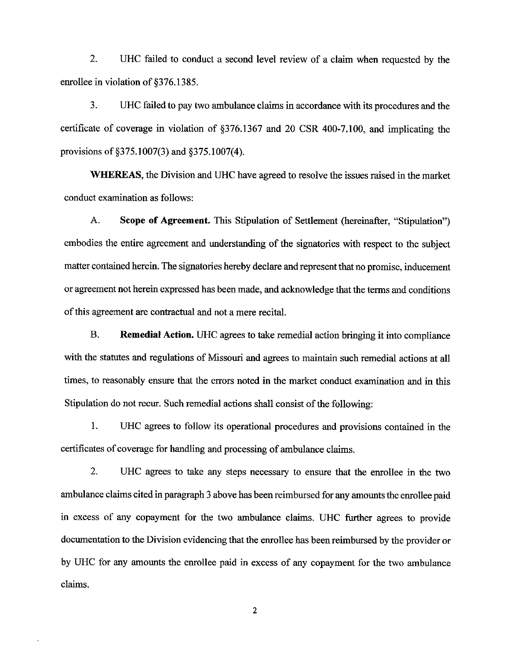$2.$ UHC failed to conduct a second level review of a claim when requested by the enrollee in violation of §376.1385.

3. UHC failed to pay two ambulance claims in accordance with its procedures and the certificate of coverage in violation of §376.1367 and 20 CSR 400-7.100, and implicating the provisions of §375.1007(3) and §375.1007(4).

WHEREAS, the Division and UHC have agreed to resolve the issues raised in the market conduct examination as follows:

 $A_{\cdot}$ Scope of Agreement. This Stipulation of Settlement (hereinafter, "Stipulation") embodies the entire agreement and understanding of the signatories with respect to the subject matter contained herein. The signatories hereby declare and represent that no promise, inducement or agreement not herein expressed has been made, and acknowledge that the terms and conditions of this agreement are contractual and not a mere recital.

**B. Remedial Action.** UHC agrees to take remedial action bringing it into compliance with the statutes and regulations of Missouri and agrees to maintain such remedial actions at all times, to reasonably ensure that the errors noted in the market conduct examination and in this Stipulation do not recur. Such remedial actions shall consist of the following:

1. UHC agrees to follow its operational procedures and provisions contained in the certificates of coverage for handling and processing of ambulance claims.

 $2.$ UHC agrees to take any steps necessary to ensure that the enrollee in the two ambulance claims cited in paragraph 3 above has been reimbursed for any amounts the enrollee paid in excess of any copayment for the two ambulance claims. UHC further agrees to provide documentation to the Division evidencing that the enrollee has been reimbursed by the provider or by UHC for any amounts the enrollee paid in excess of any copayment for the two ambulance claims.

 $\overline{2}$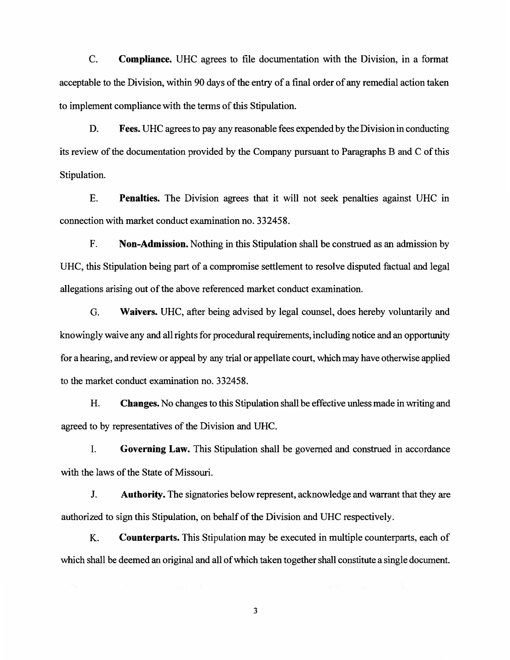C. **Compliance.** UHC agrees to file documentation with the Division, in a format acceptable to the Division, within 90 days of the entry of a final order of any remedial action taken to implement compliance with the terms of this Stipulation.

D. **Fees.** UHC agrees to pay any reasonable fees expended by the Division in conducting its review of the documentation provided by the Company pursuant to Paragraphs B and C of this Stipulation.

E. **Penalties.** The Division agrees that it will not seek penalties against UHC in connection with market conduct examination no. 332458.

F. **Non-Admission.** Nothing in this Stipulation shall be construed as an admission by UHC, this Stipulation being part of a compromise settlement to resolve disputed factual and legal allegations arising out of the above referenced market conduct examination.

G. **Waivers.** UHC, after being advised by legal counsel, does hereby voluntarily and knowingly waive any and all rights for procedural requirements, including notice and an opportunity for a hearing, and review or appeal by any trial or appellate court, which may have otherwise applied to the market conduct examination no. 332458.

H. **Changes.** No changes to this Stipulation shall be effective unless made in writing and agreed to by representatives of the Division and UHC.

I. **Governing Law.** This Stipulation shall be governed and construed in accordance with the laws of the State of Missouri.

J. **Authority.** The signatories below represent, acknowledge and warrant that they are authorized to sign this Stipulation, on behalf of the Division and UHC respectively.

K. **Counterparts.** This Stipulation may be executed in multiple counterparts, each of which shall be deemed an original and all of which taken together shall constitute a single document.

**3**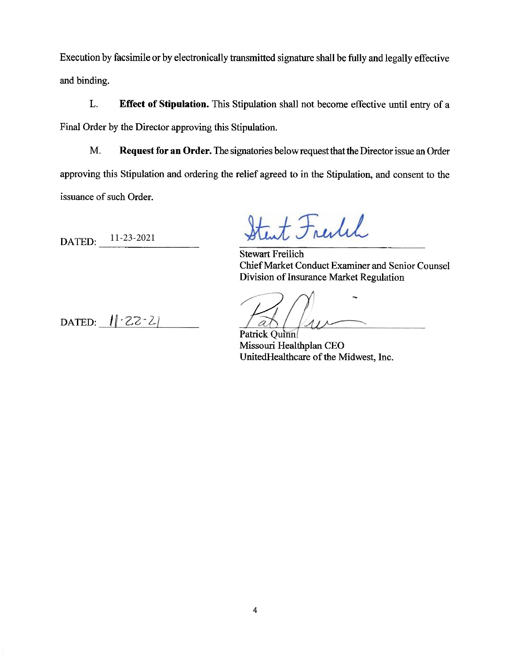Execution by facsimile or by electronically transmitted signature shall be fully and legally effective and binding.

L. Effect of Stipulation. This Stipulation shall not become effective until entry of a Final Order by the Director approving this Stipulation.

M. Request for an Order. The signatories below request that the Director issue an Order approving this Stipulation and ordering the relief agreed to in the Stipulation, and consent to the issuance of such Order.

11-23-2021 DATED:

Start Freitch

**Stewart Freilich** Chief Market Conduct Examiner and Senior Counsel Division of Insurance Market Regulation

Patrick Quinn Missouri Healthplan CEO UnitedHealthcare of the Midwest, Inc.

DATED:  $||22-2|$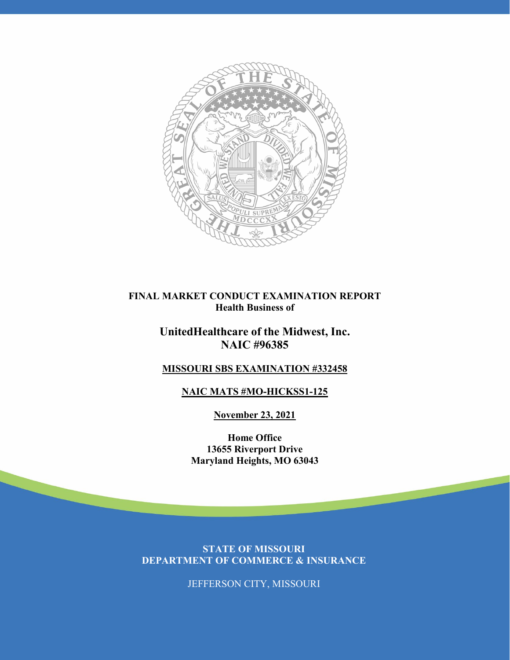

#### **FINAL MARKET CONDUCT EXAMINATION REPORT Health Business of**

## **UnitedHealthcare of the Midwest, Inc. NAIC #96385**

## **MISSOURI SBS EXAMINATION #332458**

## **NAIC MATS #MO-HICKSS1-125**

**November 23, 2021**

**Home Office 13655 Riverport Drive Maryland Heights, MO 63043**

**STATE OF MISSOURI DEPARTMENT OF COMMERCE & INSURANCE**

JEFFERSON CITY, MISSOURI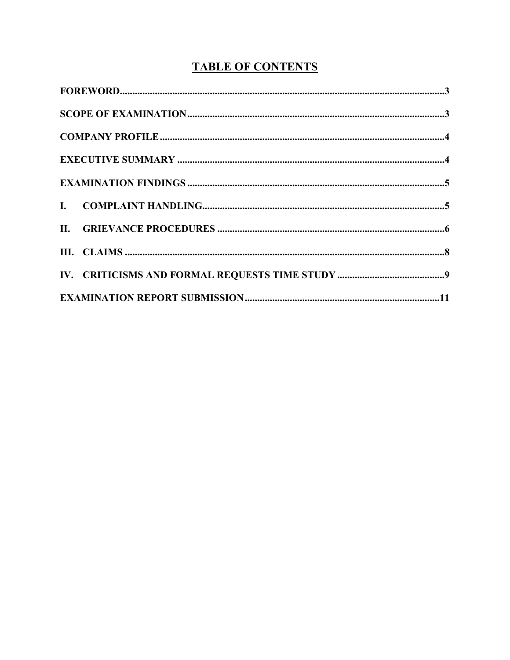# **TABLE OF CONTENTS**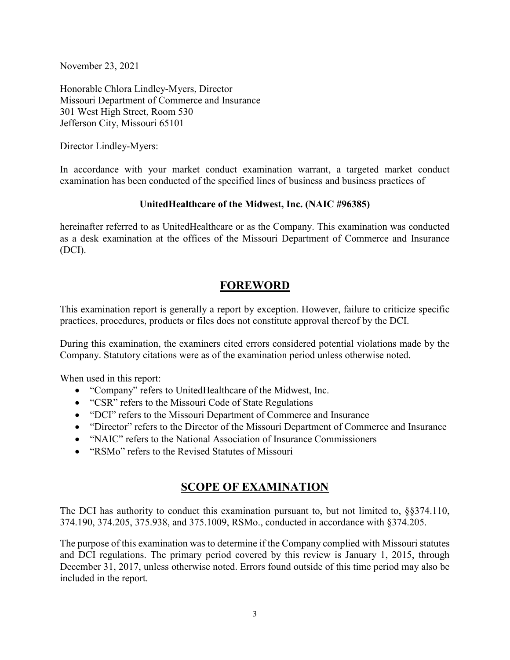November 23, 2021

Honorable Chlora Lindley-Myers, Director Missouri Department of Commerce and Insurance 301 West High Street, Room 530 Jefferson City, Missouri 65101

Director Lindley-Myers:

In accordance with your market conduct examination warrant, a targeted market conduct examination has been conducted of the specified lines of business and business practices of

#### **UnitedHealthcare of the Midwest, Inc. (NAIC #96385)**

hereinafter referred to as UnitedHealthcare or as the Company. This examination was conducted as a desk examination at the offices of the Missouri Department of Commerce and Insurance (DCI).

## **FOREWORD**

This examination report is generally a report by exception. However, failure to criticize specific practices, procedures, products or files does not constitute approval thereof by the DCI.

During this examination, the examiners cited errors considered potential violations made by the Company. Statutory citations were as of the examination period unless otherwise noted.

When used in this report:

- "Company" refers to UnitedHealthcare of the Midwest, Inc.
- "CSR" refers to the Missouri Code of State Regulations
- "DCI" refers to the Missouri Department of Commerce and Insurance
- "Director" refers to the Director of the Missouri Department of Commerce and Insurance
- "NAIC" refers to the National Association of Insurance Commissioners
- "RSMo" refers to the Revised Statutes of Missouri

## **SCOPE OF EXAMINATION**

The DCI has authority to conduct this examination pursuant to, but not limited to, §§374.110, 374.190, 374.205, 375.938, and 375.1009, RSMo., conducted in accordance with §374.205.

The purpose of this examination was to determine if the Company complied with Missouri statutes and DCI regulations. The primary period covered by this review is January 1, 2015, through December 31, 2017, unless otherwise noted. Errors found outside of this time period may also be included in the report.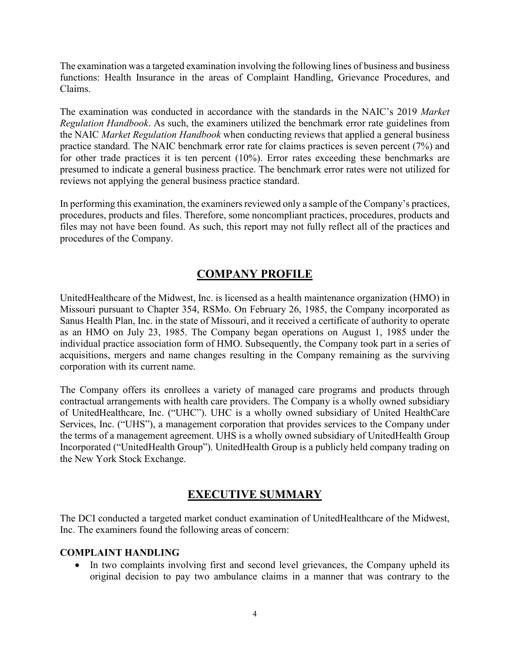The examination was a targeted examination involving the following lines of business and business functions: Health Insurance in the areas of Complaint Handling, Grievance Procedures, and Claims.

The examination was conducted in accordance with the standards in the NAIC's 2019 *Market Regulation Handbook*. As such, the examiners utilized the benchmark error rate guidelines from the NAIC *Market Regulation Handbook* when conducting reviews that applied a general business practice standard. The NAIC benchmark error rate for claims practices is seven percent (7%) and for other trade practices it is ten percent (10%). Error rates exceeding these benchmarks are presumed to indicate a general business practice. The benchmark error rates were not utilized for reviews not applying the general business practice standard.

In performing this examination, the examiners reviewed only a sample of the Company's practices, procedures, products and files. Therefore, some noncompliant practices, procedures, products and files may not have been found. As such, this report may not fully reflect all of the practices and procedures of the Company.

## **COMPANY PROFILE**

UnitedHealthcare of the Midwest, Inc. is licensed as a health maintenance organization (HMO) in Missouri pursuant to Chapter 354, RSMo. On February 26, 1985, the Company incorporated as Sanus Health Plan, Inc. in the state of Missouri, and it received a certificate of authority to operate as an HMO on July 23, 1985. The Company began operations on August 1, 1985 under the individual practice association form of HMO. Subsequently, the Company took part in a series of acquisitions, mergers and name changes resulting in the Company remaining as the surviving corporation with its current name.

The Company offers its enrollees a variety of managed care programs and products through contractual arrangements with health care providers. The Company is a wholly owned subsidiary of UnitedHealthcare, Inc. ("UHC"). UHC is a wholly owned subsidiary of United HealthCare Services, Inc. ("UHS"), a management corporation that provides services to the Company under the terms of a management agreement. UHS is a wholly owned subsidiary of UnitedHealth Group Incorporated ("UnitedHealth Group"). UnitedHealth Group is a publicly held company trading on the New York Stock Exchange.

## **EXECUTIVE SUMMARY**

The DCI conducted a targeted market conduct examination of UnitedHealthcare of the Midwest, Inc. The examiners found the following areas of concern:

#### **COMPLAINT HANDLING**

• In two complaints involving first and second level grievances, the Company upheld its original decision to pay two ambulance claims in a manner that was contrary to the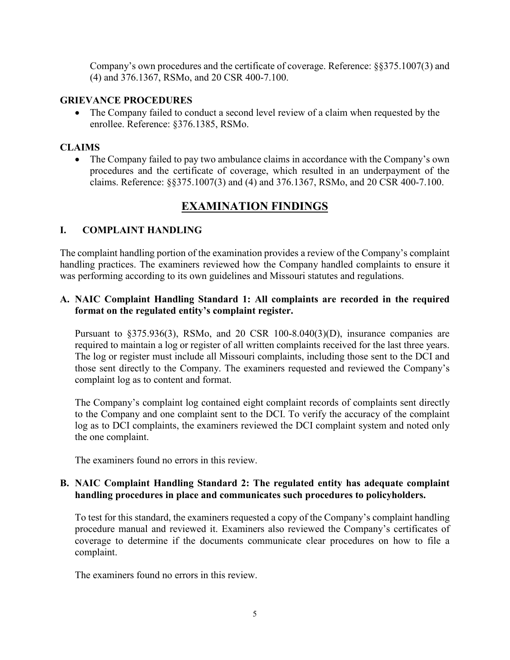Company's own procedures and the certificate of coverage. Reference: §§375.1007(3) and (4) and 376.1367, RSMo, and 20 CSR 400-7.100.

#### **GRIEVANCE PROCEDURES**

• The Company failed to conduct a second level review of a claim when requested by the enrollee. Reference: §376.1385, RSMo.

#### **CLAIMS**

• The Company failed to pay two ambulance claims in accordance with the Company's own procedures and the certificate of coverage, which resulted in an underpayment of the claims. Reference: §§375.1007(3) and (4) and 376.1367, RSMo, and 20 CSR 400-7.100.

## **EXAMINATION FINDINGS**

#### **I. COMPLAINT HANDLING**

The complaint handling portion of the examination provides a review of the Company's complaint handling practices. The examiners reviewed how the Company handled complaints to ensure it was performing according to its own guidelines and Missouri statutes and regulations.

#### **A. NAIC Complaint Handling Standard 1: All complaints are recorded in the required format on the regulated entity's complaint register.**

Pursuant to §375.936(3), RSMo, and 20 CSR 100-8.040(3)(D), insurance companies are required to maintain a log or register of all written complaints received for the last three years. The log or register must include all Missouri complaints, including those sent to the DCI and those sent directly to the Company. The examiners requested and reviewed the Company's complaint log as to content and format.

The Company's complaint log contained eight complaint records of complaints sent directly to the Company and one complaint sent to the DCI. To verify the accuracy of the complaint log as to DCI complaints, the examiners reviewed the DCI complaint system and noted only the one complaint.

The examiners found no errors in this review.

#### **B. NAIC Complaint Handling Standard 2: The regulated entity has adequate complaint handling procedures in place and communicates such procedures to policyholders.**

To test for this standard, the examiners requested a copy of the Company's complaint handling procedure manual and reviewed it. Examiners also reviewed the Company's certificates of coverage to determine if the documents communicate clear procedures on how to file a complaint.

The examiners found no errors in this review.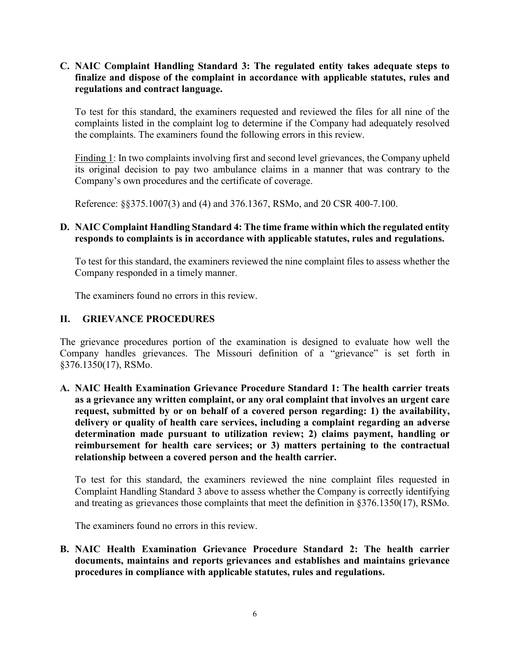#### **C. NAIC Complaint Handling Standard 3: The regulated entity takes adequate steps to finalize and dispose of the complaint in accordance with applicable statutes, rules and regulations and contract language.**

To test for this standard, the examiners requested and reviewed the files for all nine of the complaints listed in the complaint log to determine if the Company had adequately resolved the complaints. The examiners found the following errors in this review.

Finding 1: In two complaints involving first and second level grievances, the Company upheld its original decision to pay two ambulance claims in a manner that was contrary to the Company's own procedures and the certificate of coverage.

Reference: §§375.1007(3) and (4) and 376.1367, RSMo, and 20 CSR 400-7.100.

#### **D. NAIC Complaint Handling Standard 4: The time frame within which the regulated entity responds to complaints is in accordance with applicable statutes, rules and regulations.**

To test for this standard, the examiners reviewed the nine complaint files to assess whether the Company responded in a timely manner.

The examiners found no errors in this review.

#### **II. GRIEVANCE PROCEDURES**

The grievance procedures portion of the examination is designed to evaluate how well the Company handles grievances. The Missouri definition of a "grievance" is set forth in §376.1350(17), RSMo.

**A. NAIC Health Examination Grievance Procedure Standard 1: The health carrier treats as a grievance any written complaint, or any oral complaint that involves an urgent care request, submitted by or on behalf of a covered person regarding: 1) the availability, delivery or quality of health care services, including a complaint regarding an adverse determination made pursuant to utilization review; 2) claims payment, handling or reimbursement for health care services; or 3) matters pertaining to the contractual relationship between a covered person and the health carrier.**

To test for this standard, the examiners reviewed the nine complaint files requested in Complaint Handling Standard 3 above to assess whether the Company is correctly identifying and treating as grievances those complaints that meet the definition in §376.1350(17), RSMo.

The examiners found no errors in this review.

**B. NAIC Health Examination Grievance Procedure Standard 2: The health carrier documents, maintains and reports grievances and establishes and maintains grievance procedures in compliance with applicable statutes, rules and regulations.**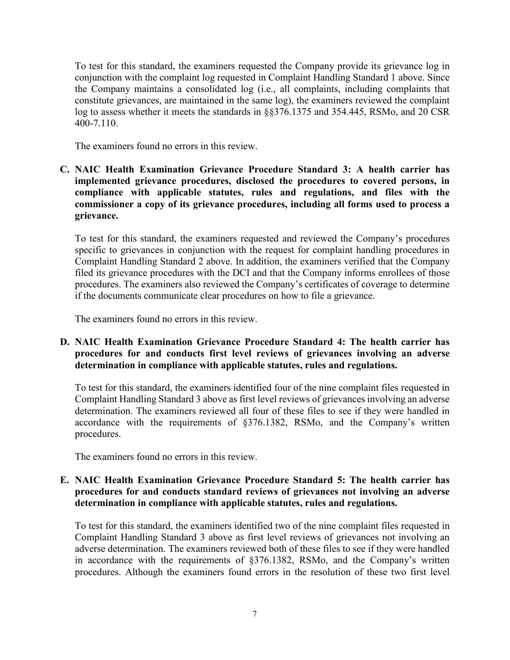To test for this standard, the examiners requested the Company provide its grievance log in conjunction with the complaint log requested in Complaint Handling Standard 1 above. Since the Company maintains a consolidated log (i.e., all complaints, including complaints that constitute grievances, are maintained in the same log), the examiners reviewed the complaint log to assess whether it meets the standards in §§376.1375 and 354.445, RSMo, and 20 CSR 400-7.110.

The examiners found no errors in this review.

**C. NAIC Health Examination Grievance Procedure Standard 3: A health carrier has implemented grievance procedures, disclosed the procedures to covered persons, in compliance with applicable statutes, rules and regulations, and files with the commissioner a copy of its grievance procedures, including all forms used to process a grievance.**

To test for this standard, the examiners requested and reviewed the Company's procedures specific to grievances in conjunction with the request for complaint handling procedures in Complaint Handling Standard 2 above. In addition, the examiners verified that the Company filed its grievance procedures with the DCI and that the Company informs enrollees of those procedures. The examiners also reviewed the Company's certificates of coverage to determine if the documents communicate clear procedures on how to file a grievance.

The examiners found no errors in this review.

**D. NAIC Health Examination Grievance Procedure Standard 4: The health carrier has procedures for and conducts first level reviews of grievances involving an adverse determination in compliance with applicable statutes, rules and regulations.**

To test for this standard, the examiners identified four of the nine complaint files requested in Complaint Handling Standard 3 above as first level reviews of grievances involving an adverse determination. The examiners reviewed all four of these files to see if they were handled in accordance with the requirements of §376.1382, RSMo, and the Company's written procedures.

The examiners found no errors in this review.

#### **E. NAIC Health Examination Grievance Procedure Standard 5: The health carrier has procedures for and conducts standard reviews of grievances not involving an adverse determination in compliance with applicable statutes, rules and regulations.**

To test for this standard, the examiners identified two of the nine complaint files requested in Complaint Handling Standard 3 above as first level reviews of grievances not involving an adverse determination. The examiners reviewed both of these files to see if they were handled in accordance with the requirements of §376.1382, RSMo, and the Company's written procedures. Although the examiners found errors in the resolution of these two first level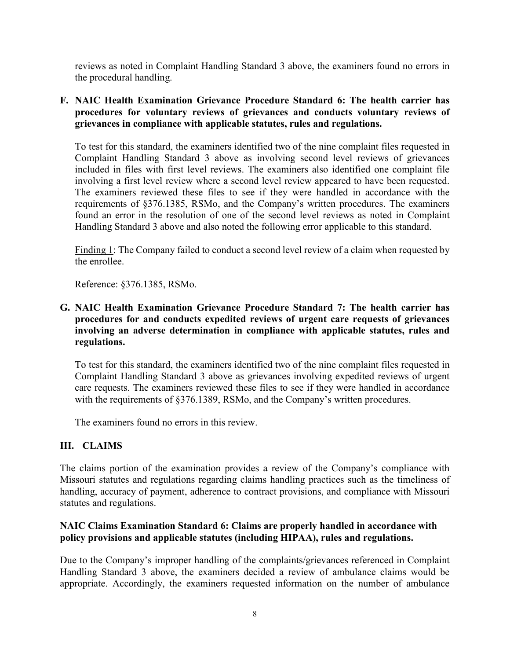reviews as noted in Complaint Handling Standard 3 above, the examiners found no errors in the procedural handling.

#### **F. NAIC Health Examination Grievance Procedure Standard 6: The health carrier has procedures for voluntary reviews of grievances and conducts voluntary reviews of grievances in compliance with applicable statutes, rules and regulations.**

To test for this standard, the examiners identified two of the nine complaint files requested in Complaint Handling Standard 3 above as involving second level reviews of grievances included in files with first level reviews. The examiners also identified one complaint file involving a first level review where a second level review appeared to have been requested. The examiners reviewed these files to see if they were handled in accordance with the requirements of §376.1385, RSMo, and the Company's written procedures. The examiners found an error in the resolution of one of the second level reviews as noted in Complaint Handling Standard 3 above and also noted the following error applicable to this standard.

Finding 1: The Company failed to conduct a second level review of a claim when requested by the enrollee.

Reference: §376.1385, RSMo.

#### **G. NAIC Health Examination Grievance Procedure Standard 7: The health carrier has procedures for and conducts expedited reviews of urgent care requests of grievances involving an adverse determination in compliance with applicable statutes, rules and regulations.**

To test for this standard, the examiners identified two of the nine complaint files requested in Complaint Handling Standard 3 above as grievances involving expedited reviews of urgent care requests. The examiners reviewed these files to see if they were handled in accordance with the requirements of §376.1389, RSMo, and the Company's written procedures.

The examiners found no errors in this review.

#### **III. CLAIMS**

The claims portion of the examination provides a review of the Company's compliance with Missouri statutes and regulations regarding claims handling practices such as the timeliness of handling, accuracy of payment, adherence to contract provisions, and compliance with Missouri statutes and regulations.

#### **NAIC Claims Examination Standard 6: Claims are properly handled in accordance with policy provisions and applicable statutes (including HIPAA), rules and regulations.**

Due to the Company's improper handling of the complaints/grievances referenced in Complaint Handling Standard 3 above, the examiners decided a review of ambulance claims would be appropriate. Accordingly, the examiners requested information on the number of ambulance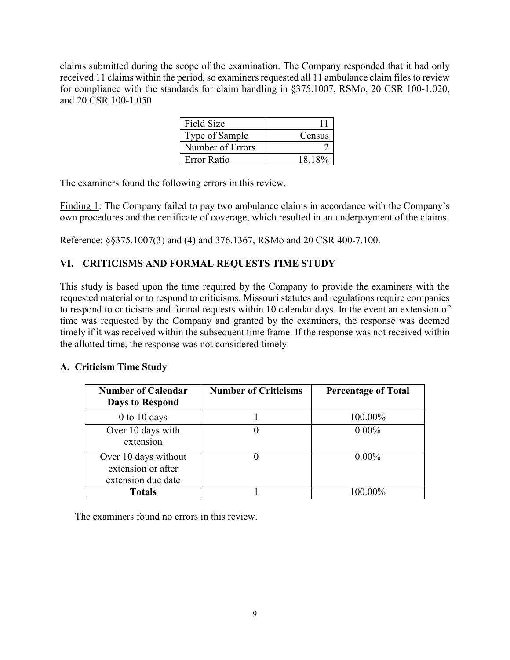claims submitted during the scope of the examination. The Company responded that it had only received 11 claims within the period, so examiners requested all 11 ambulance claim files to review for compliance with the standards for claim handling in §375.1007, RSMo, 20 CSR 100-1.020, and 20 CSR 100-1.050

| Field Size       |        |
|------------------|--------|
| Type of Sample   | Census |
| Number of Errors |        |
| Error Ratio      | 18.18% |

The examiners found the following errors in this review.

Finding 1: The Company failed to pay two ambulance claims in accordance with the Company's own procedures and the certificate of coverage, which resulted in an underpayment of the claims.

Reference: §§375.1007(3) and (4) and 376.1367, RSMo and 20 CSR 400-7.100.

## **VI. CRITICISMS AND FORMAL REQUESTS TIME STUDY**

This study is based upon the time required by the Company to provide the examiners with the requested material or to respond to criticisms. Missouri statutes and regulations require companies to respond to criticisms and formal requests within 10 calendar days. In the event an extension of time was requested by the Company and granted by the examiners, the response was deemed timely if it was received within the subsequent time frame. If the response was not received within the allotted time, the response was not considered timely.

#### **A. Criticism Time Study**

| <b>Number of Calendar</b><br><b>Days to Respond</b>              | <b>Number of Criticisms</b> | <b>Percentage of Total</b> |
|------------------------------------------------------------------|-----------------------------|----------------------------|
| $0$ to $10$ days                                                 |                             | 100.00%                    |
| Over 10 days with<br>extension                                   |                             | $0.00\%$                   |
| Over 10 days without<br>extension or after<br>extension due date |                             | $0.00\%$                   |
| Totals                                                           |                             | 100 00%                    |

The examiners found no errors in this review.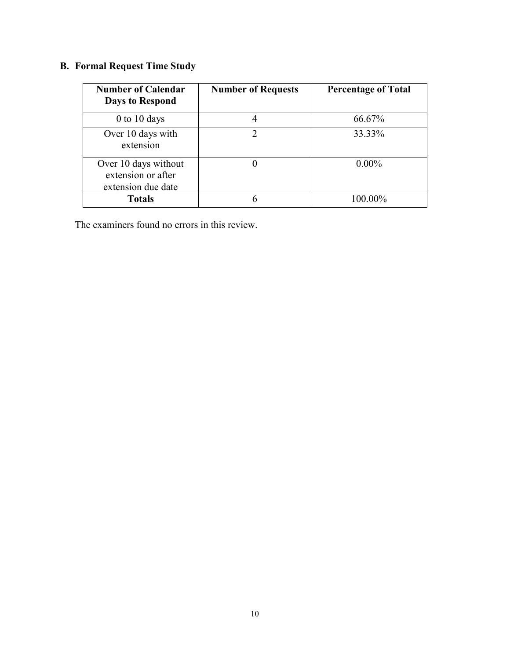## **B. Formal Request Time Study**

| <b>Number of Calendar</b><br><b>Days to Respond</b>              | <b>Number of Requests</b> | <b>Percentage of Total</b> |
|------------------------------------------------------------------|---------------------------|----------------------------|
| $0$ to $10$ days                                                 |                           | 66.67%                     |
| Over 10 days with<br>extension                                   | っ                         | 33.33%                     |
| Over 10 days without<br>extension or after<br>extension due date |                           | $0.00\%$                   |
| <b>Totals</b>                                                    |                           | $100.00\%$                 |

The examiners found no errors in this review.